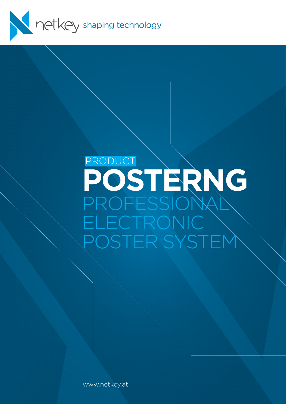

# **POSTERNG** ROFESSIONA LECTRONIC . POSTER SYSTEM PRODUCT

www.netkey.at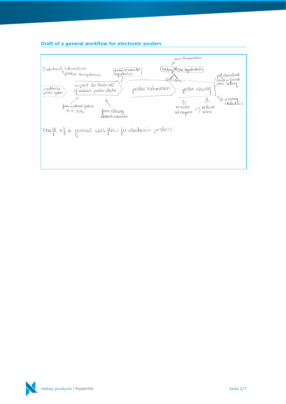

# **Draft of a general workflow for electronic posters**

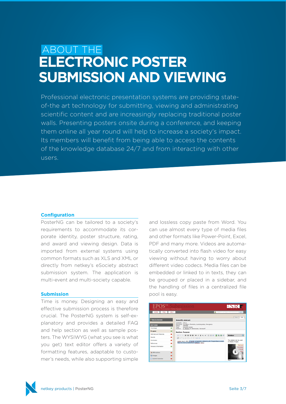# **ELECTRONIC POSTER SUBMISSION AND VIEWING** ABOUT THE

Professional electronic presentation systems are providing stateof-the art technology for submitting, viewing and administrating scientific content and are increasingly replacing traditional poster walls. Presenting posters onsite during a conference, and keeping them online all year round will help to increase a society's impact. Its members will benefit from being able to access the contents of the knowledge database 24/7 and from interacting with other users.

#### **Configuration**

PosterNG can be tailored to a society's requirements to accommodate its corporate identity, poster structure, rating, and award and viewing design. Data is imported from external systems using common formats such as XLS and XML or directly from netkey's eSociety abstract submission system. The application is multi-event and multi-society capable.

#### **Submission**

Time is money. Designing an easy and effective submission process is therefore crucial. The PosterNG system is self-explanatory and provides a detailed FAQ and help section as well as sample posters. The WYSIWYG (what you see is what you get) text editor offers a variety of formatting features, adaptable to customer's needs, while also supporting simple

and lossless copy paste from Word. You can use almost every type of media files and other formats like Power-Point, Excel, PDF and many more. Videos are automatically converted into flash video for easy viewing without having to worry about different video codecs. Media files can be embedded or linked to in texts, they can be grouped or placed in a sidebar, and the handling of files in a centralized file pool is easy.



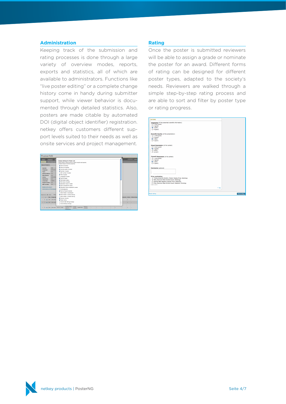#### **Administration**

Keeping track of the submission and rating processes is done through a large variety of overview modes, reports, exports and statistics, all of which are available to administrators. Functions like "live poster editing" or a complete change history come in handy during submitter support, while viewer behavior is documented through detailed statistics. Also, posters are made citable by automated DOI (digital object identifier) registration. netkey offers customers different support levels suited to their needs as well as onsite services and project management.

| PosterNG                                                                                                                                                                                                                                                |                                                                                                                                                                                                                                                                    |        |          |   |                                 |
|---------------------------------------------------------------------------------------------------------------------------------------------------------------------------------------------------------------------------------------------------------|--------------------------------------------------------------------------------------------------------------------------------------------------------------------------------------------------------------------------------------------------------------------|--------|----------|---|---------------------------------|
| Statistics<br>Home<br>New Single Post<br>Search<br><b>Search Poster's</b><br><b>ICR</b><br>Society:<br>FCR-2010<br>Congress:                                                                                                                            | <b>Display Settings for Poster List:</b><br>Check boxes to add columns to search results and exports.<br>uncheck boxes to remove columns.<br>M Name of society<br><b>NI Name of congress</b><br><b>M Controlnumber of poster</b>                                   |        | $\Omega$ |   | I Logged                        |
| <b>ANY</b><br><b>Type:</b><br><b>Submit Status:</b><br><b>BYC</b><br><b>Rate Status:</b><br><b>BYC</b><br><b>Reducertive</b><br>Active:<br>Mediafiles<br><b>BYC</b><br>english<br>Languager<br><b>BYC</b><br>Posternumber:<br><b>BYC</b><br>DOI number: | <b>NI Number of poster</b><br>El DOI number of poster<br><b>M</b> Title of poster<br>El Language of poster<br>M Type of poster<br>M Submission status<br><b>M</b> Hain toolc of poster<br><b>M</b> Secondary topic of coster<br><b>M</b> Toolc procosed for poster |        |          |   |                                 |
| Related with person?<br>Combinations of Multicategori<br>Records \$ - 25 / 3316<br>Shew<br>Soc. Congress<br>1 B view ECR ECR 2010                                                                                                                       | 6 Secondary topic proposed for poster<br><b>El Multicategories</b><br>60 Name of award received<br><b>El Show Poster in Submission</b><br><b>St</b> Show Poster in Online Viewing<br>Fil Show Poster in Onsite Viewing<br><b>M</b> Internal remarks                |        |          |   | tempeles Active Pullicat Search |
| 2 El signe ECR ECR 2010<br>F view ECR ECR 2010 #0143 A-056                                                                                                                                                                                              | <b>St</b> Poster Artive<br>Fil Overall USer Rating Average<br><b>El Overall Rating Average</b><br>function from a Envited<br>Without<br>Speaker SUBNITTED<br>Subtrolo<br>chest CT                                                                                  | u<br>Ħ |          | × | ×                               |

#### **Rating**

Once the poster is submitted reviewers will be able to assign a grade or nominate the poster for an award. Different forms of rating can be designed for different poster types, adapted to the society's needs. Reviewers are walked through a simple step-by-step rating process and are able to sort and filter by poster type or rating progress.

| <b>RATING</b>                                                  |             |
|----------------------------------------------------------------|-------------|
| Originality (of the presented scientific information)          |             |
| (i) 1 (very good)                                              |             |
| (2 (good)                                                      |             |
| (b) 3 (fair)                                                   |             |
|                                                                |             |
| $\bigoplus$ 4 (poor)                                           |             |
|                                                                |             |
| Scientific Quality (of the presentation)                       |             |
| $\bigoplus$ 1 (very good)                                      |             |
| $\bigoplus$ 2 (good)                                           |             |
| (3 (fair))                                                     |             |
| $\bigoplus$ 4 (poor)                                           |             |
|                                                                |             |
|                                                                |             |
| Visual Impression (of the exhibit)                             |             |
| $\bigoplus$ 1 (very good)                                      |             |
| <sup>(2, 2</sup> (good)                                        |             |
| $\bigcirc$ 3 (fair)                                            |             |
| (24 (poor)                                                     |             |
|                                                                |             |
| Overall Assessment (of the exhibit)                            |             |
| $\bigoplus$ 1 (very good)                                      |             |
|                                                                |             |
| $(2 \text{ (good)}$                                            |             |
| (3 (fair)                                                      |             |
| $\bigoplus$ 4 (poor)                                           |             |
|                                                                |             |
| <b>Comments (optional)</b>                                     |             |
|                                                                |             |
|                                                                |             |
|                                                                |             |
|                                                                |             |
| <b>Prize nomination:</b>                                       |             |
| C Toshiba Scientific Exhibit / Poster Display Prize, Radiology |             |
| Wiev Blackwell Best Exhibit Award, Radiology                   |             |
| C Guerbet Best Registrar Exhibit Prize, Radiology              |             |
| Wiley Blackwell Best Exhibit Award, Radiation Oncology         |             |
| clear score                                                    |             |
|                                                                |             |
| $+$ Too                                                        |             |
|                                                                |             |
|                                                                |             |
| <b>Reset rating</b>                                            | Save rating |
|                                                                |             |

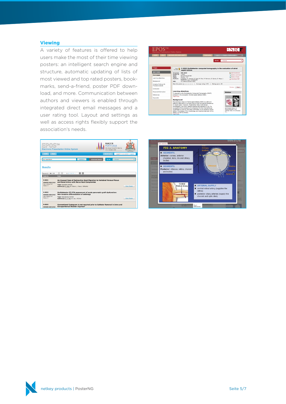#### **Viewing**

A variety of features is offered to help users make the most of their time viewing posters: an intelligent search engine and structure, automatic updating of lists of most viewed and top rated posters, bookmarks, send-a-friend, poster PDF download, and more. Communication between authors and viewers is enabled through integrated direct email messages and a user rating tool. Layout and settings as well as access rights flexibly support the

|                                         | association's needs.                                                                                                      |                        |                                                                                     |                              |
|-----------------------------------------|---------------------------------------------------------------------------------------------------------------------------|------------------------|-------------------------------------------------------------------------------------|------------------------------|
|                                         | <b>Electronic Presentation Online System</b>                                                                              |                        | RANZCR<br><b>PERTH 2010</b><br>61st Annual Scientific Meeting<br>14-17 October 2010 |                              |
| <b>HOME</b><br>HELP                     |                                                                                                                           |                        | <b>Bookmarks</b>                                                                    | Logged in as minimi   Loggut |
| <b>Your searchterm</b>                  | <b>SEARCH</b>                                                                                                             | <b>Advanced Search</b> | Go to:<br>» choose                                                                  |                              |
| Records 1 - 10 / 133<br>Poster No.      | $\triangleright$ $\triangleright$<br>$\overline{\mathbb{R}}$<br>$\sqrt{3}$<br>1, 2, 3, 4, 5,<br>Poster                    |                        |                                                                                     |                              |
| <b>R-0001</b><br><b>RANZCR ASM 2010</b> | An Unusual Case of Radioactive Seed Migration to Vertebral Venous Plexus<br>and Renal Artery with Nerve Root Compromise   |                        |                                                                                     |                              |
| User rating: 0.0<br>Mews: 3             | <b>Type: Scientific Exhibit</b><br>Author(s): E. Hau, B. Oborn, J. Bucci: NSW/AU                                          |                        |                                                                                     | <b>View Poster</b>           |
| <b>R-0002</b><br><b>RANZCR ASM 2010</b> | Multidetector CT/CTA assessment of acute pancreatic graft dysfunction:<br>Non-invasive differentiation of aetiology       |                        |                                                                                     |                              |
| User rating: 0.0<br>Views: 2            | <b>Type: Educational Exhibit</b><br>Author(s): Z. Y. Tan, K. Lau; VIC/AU                                                  |                        |                                                                                     | <b>View Poster</b>           |
| R-0003<br><b>RANZCR ASM 2010</b>        | Conventional Cystogram is not required prior to Catheter Removal in Intra and<br><b>Extraperitoneal Bladder Injuries?</b> |                        |                                                                                     |                              |

| ARCHIVE (ECR 2003-2007)<br>HOME<br><b>HELP</b><br>Bookmarks<br>Go to:<br><b>»</b> choose<br><b>O</b> Back<br>C-0502 Multidetector computed tomography in the evaluation of atrial<br>Magna C<br>septal defects<br><b>SECTIONS</b><br>Congress:<br><b>FCR 2010</b><br><b>Poster Nr.</b> C-0502<br>Coverpage<br><b>Educational Evhibit</b><br>Type:<br><b>Topic:</b><br>Cardiac - CT<br>Learning objectives<br>S. Espeio, R. Ysamat, B. Caial, M. Pan, M. Romero, D. Garcia, D. Mesa, J.<br>Authors:<br>Suarez de Lezo: Córdoba/ES<br>Background<br>10.1594/ecr2010/C-0502<br>DOT:<br>Average rating: 3.70<br>Ratinos given: 20<br>Rate this poster: @ de de de de de<br>Imaging findings OR<br>Procedure details<br>Previous<br>Conclusion<br><b>Learning objectives</b><br><b>Personal Information</b><br>Sidebar<br>To describe a new Multidetector Computed Tomography (MDCT)<br>References<br>protocol in the evaluation of atrial septal defects (ASD).<br>read more<br>A3D<br>Keywords<br><b>Background</b><br>Percutaneous closure of atrial septal defects (ASD) is a safe and<br>effective alternative to surgical closure that has gained acceptance |  |                                                                                               | Logout<br><b>III</b> Add bookmark<br>Send a comment<br><b>Sand a friend</b><br><b>Download PDF</b> |
|---------------------------------------------------------------------------------------------------------------------------------------------------------------------------------------------------------------------------------------------------------------------------------------------------------------------------------------------------------------------------------------------------------------------------------------------------------------------------------------------------------------------------------------------------------------------------------------------------------------------------------------------------------------------------------------------------------------------------------------------------------------------------------------------------------------------------------------------------------------------------------------------------------------------------------------------------------------------------------------------------------------------------------------------------------------------------------------------------------------------------------------------------------------|--|-----------------------------------------------------------------------------------------------|----------------------------------------------------------------------------------------------------|
|                                                                                                                                                                                                                                                                                                                                                                                                                                                                                                                                                                                                                                                                                                                                                                                                                                                                                                                                                                                                                                                                                                                                                               |  |                                                                                               |                                                                                                    |
|                                                                                                                                                                                                                                                                                                                                                                                                                                                                                                                                                                                                                                                                                                                                                                                                                                                                                                                                                                                                                                                                                                                                                               |  |                                                                                               |                                                                                                    |
|                                                                                                                                                                                                                                                                                                                                                                                                                                                                                                                                                                                                                                                                                                                                                                                                                                                                                                                                                                                                                                                                                                                                                               |  |                                                                                               |                                                                                                    |
|                                                                                                                                                                                                                                                                                                                                                                                                                                                                                                                                                                                                                                                                                                                                                                                                                                                                                                                                                                                                                                                                                                                                                               |  |                                                                                               |                                                                                                    |
|                                                                                                                                                                                                                                                                                                                                                                                                                                                                                                                                                                                                                                                                                                                                                                                                                                                                                                                                                                                                                                                                                                                                                               |  |                                                                                               |                                                                                                    |
|                                                                                                                                                                                                                                                                                                                                                                                                                                                                                                                                                                                                                                                                                                                                                                                                                                                                                                                                                                                                                                                                                                                                                               |  |                                                                                               |                                                                                                    |
|                                                                                                                                                                                                                                                                                                                                                                                                                                                                                                                                                                                                                                                                                                                                                                                                                                                                                                                                                                                                                                                                                                                                                               |  |                                                                                               |                                                                                                    |
|                                                                                                                                                                                                                                                                                                                                                                                                                                                                                                                                                                                                                                                                                                                                                                                                                                                                                                                                                                                                                                                                                                                                                               |  |                                                                                               |                                                                                                    |
|                                                                                                                                                                                                                                                                                                                                                                                                                                                                                                                                                                                                                                                                                                                                                                                                                                                                                                                                                                                                                                                                                                                                                               |  |                                                                                               | Next.                                                                                              |
|                                                                                                                                                                                                                                                                                                                                                                                                                                                                                                                                                                                                                                                                                                                                                                                                                                                                                                                                                                                                                                                                                                                                                               |  |                                                                                               |                                                                                                    |
|                                                                                                                                                                                                                                                                                                                                                                                                                                                                                                                                                                                                                                                                                                                                                                                                                                                                                                                                                                                                                                                                                                                                                               |  |                                                                                               |                                                                                                    |
|                                                                                                                                                                                                                                                                                                                                                                                                                                                                                                                                                                                                                                                                                                                                                                                                                                                                                                                                                                                                                                                                                                                                                               |  |                                                                                               |                                                                                                    |
|                                                                                                                                                                                                                                                                                                                                                                                                                                                                                                                                                                                                                                                                                                                                                                                                                                                                                                                                                                                                                                                                                                                                                               |  |                                                                                               |                                                                                                    |
|                                                                                                                                                                                                                                                                                                                                                                                                                                                                                                                                                                                                                                                                                                                                                                                                                                                                                                                                                                                                                                                                                                                                                               |  |                                                                                               |                                                                                                    |
|                                                                                                                                                                                                                                                                                                                                                                                                                                                                                                                                                                                                                                                                                                                                                                                                                                                                                                                                                                                                                                                                                                                                                               |  |                                                                                               |                                                                                                    |
| in recent years. However, implantation failure and device<br>embolization may occur despite experienced operators [1,2]. For                                                                                                                                                                                                                                                                                                                                                                                                                                                                                                                                                                                                                                                                                                                                                                                                                                                                                                                                                                                                                                  |  |                                                                                               |                                                                                                    |
| successful of the procedure, it is important for the interventional                                                                                                                                                                                                                                                                                                                                                                                                                                                                                                                                                                                                                                                                                                                                                                                                                                                                                                                                                                                                                                                                                           |  |                                                                                               | Atrial septal defect. A)                                                                           |
|                                                                                                                                                                                                                                                                                                                                                                                                                                                                                                                                                                                                                                                                                                                                                                                                                                                                                                                                                                                                                                                                                                                                                               |  | defect. Knowledge of the morphology and maximal diameter of the<br>defect, as well as precise | chamber view). B) Computed<br>To                                                                   |



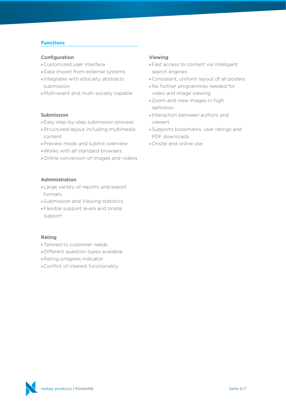# **Functions**

### Configuration

- » Customized user interface
- »Data import from external systems
- » Integrates with eSociety abstracts submission
- » Multi-event and multi-society capable

# Submission

- »Easy step-by-step submission process
- »Structured layout including multimedia content
- »Preview mode and submit overview
- »Works with all standard browsers
- » Online conversion of images and videos

# Administration

- »Large variety of reports and export formats
- »Submission and Viewing statistics
- »Flexible support levels and onsite support

#### Rating

- »Tailored to customer needs
- » Different question types available
- » Rating progress indicator
- » Conflict of interest functionality

#### Viewing

- »Fast access to content via intelligent search engines
- » Consistent, uniform layout of all posters
- »No further programmes needed for video and image viewing
- »Zoom and view images in high definition
- » Interaction between authors and viewers
- »Supports bookmarks, user ratings and PDF downloads
- » Onsite and online use